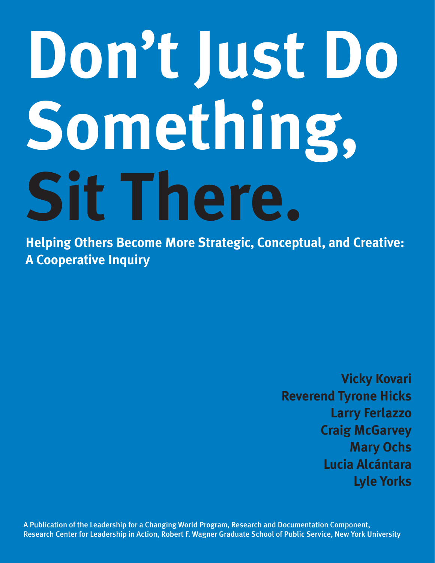# **Don't Just Do Something, Sit There.**

**Helping Others Become More Strategic, Conceptual, and Creative: A Cooperative Inquiry**

> **Vicky Kovari Reverend Tyrone Hicks Larry Ferlazzo Craig McGarvey Mary Ochs Lucia Alcántara Lyle Yorks**

A Publication of the Leadership for a Changing World Program, Research and Documentation Component, Research Center for Leadership in Action, Robert F. Wagner Graduate School of Public Service, New York University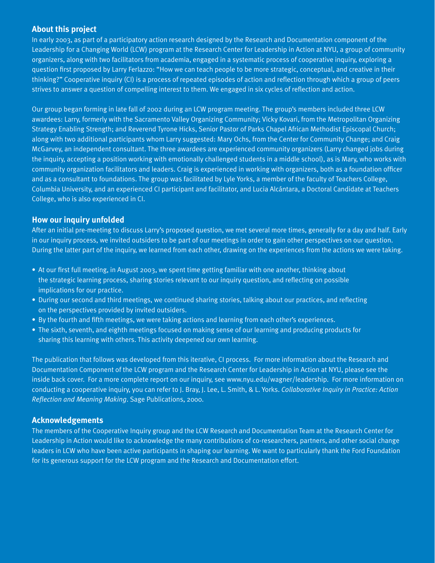### **About this project**

In early 2003, as part of a participatory action research designed by the Research and Documentation component of the Leadership for a Changing World (LCW) program at the Research Center for Leadership in Action at NYU, a group of community organizers, along with two facilitators from academia, engaged in a systematic process of cooperative inquiry, exploring a question first proposed by Larry Ferlazzo: "How we can teach people to be more strategic, conceptual, and creative in their thinking?" Cooperative inquiry (CI) is a process of repeated episodes of action and reflection through which a group of peers strives to answer a question of compelling interest to them. We engaged in six cycles of reflection and action.

Our group began forming in late fall of 2002 during an LCW program meeting. The group's members included three LCW awardees: Larry, formerly with the Sacramento Valley Organizing Community; Vicky Kovari, from the Metropolitan Organizing Strategy Enabling Strength; and Reverend Tyrone Hicks, Senior Pastor of Parks Chapel African Methodist Episcopal Church; along with two additional participants whom Larry suggested: Mary Ochs, from the Center for Community Change; and Craig McGarvey, an independent consultant. The three awardees are experienced community organizers (Larry changed jobs during the inquiry, accepting a position working with emotionally challenged students in a middle school), as is Mary, who works with community organization facilitators and leaders. Craig is experienced in working with organizers, both as a foundation officer and as a consultant to foundations. The group was facilitated by Lyle Yorks, a member of the faculty of Teachers College, Columbia University, and an experienced CI participant and facilitator, and Lucia Alcántara, a Doctoral Candidate at Teachers College, who is also experienced in CI.

#### **How our inquiry unfolded**

After an initial pre-meeting to discuss Larry's proposed question, we met several more times, generally for a day and half. Early in our inquiry process, we invited outsiders to be part of our meetings in order to gain other perspectives on our question. During the latter part of the inquiry, we learned from each other, drawing on the experiences from the actions we were taking.

- At our first full meeting, in August 2003, we spent time getting familiar with one another, thinking about the strategic learning process, sharing stories relevant to our inquiry question, and reflecting on possible implications for our practice.
- During our second and third meetings, we continued sharing stories, talking about our practices, and reflecting on the perspectives provided by invited outsiders.
- By the fourth and fifth meetings, we were taking actions and learning from each other's experiences.
- The sixth, seventh, and eighth meetings focused on making sense of our learning and producing products for sharing this learning with others. This activity deepened our own learning.

The publication that follows was developed from this iterative, CI process. For more information about the Research and Documentation Component of the LCW program and the Research Center for Leadership in Action at NYU, please see the inside back cover. For a more complete report on our inquiry, see www.nyu.edu/wagner/leadership. For more information on conducting a cooperative inquiry, you can refer to J. Bray, J. Lee, L. Smith, & L. Yorks. *Collaborative Inquiry in Practice: Action Reflection and Meaning Making*. Sage Publications, 2000.

#### **Acknowledgements**

The members of the Cooperative Inquiry group and the LCW Research and Documentation Team at the Research Center for Leadership in Action would like to acknowledge the many contributions of co-researchers, partners, and other social change leaders in LCW who have been active participants in shaping our learning. We want to particularly thank the Ford Foundation for its generous support for the LCW program and the Research and Documentation effort.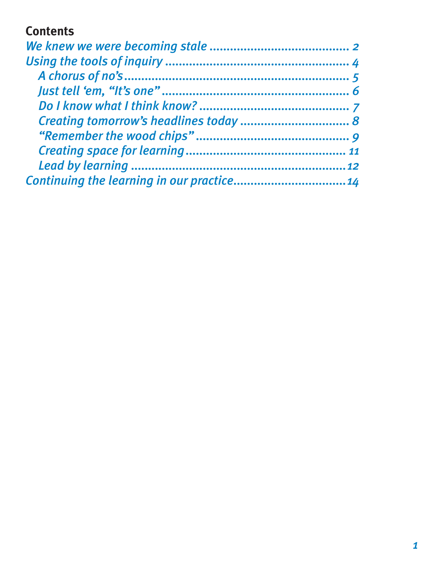## **Contents**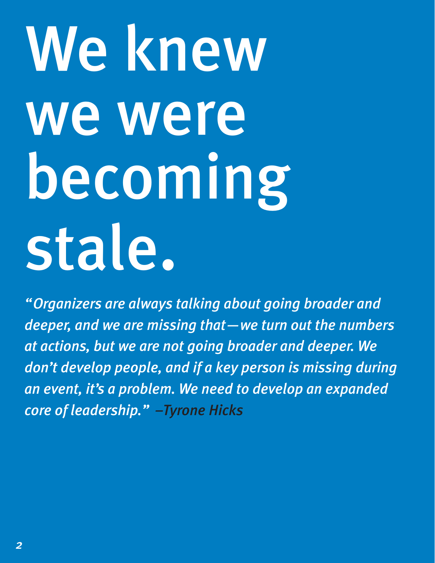# We knew we were becoming stale.

*"Organizers are always talking about going broader and deeper, and we are missing that—we turn out the numbers at actions, but we are not going broader and deeper. We don't develop people, and if a key person is missing during an event, it's a problem. We need to develop an expanded core of leadership." –Tyrone Hicks*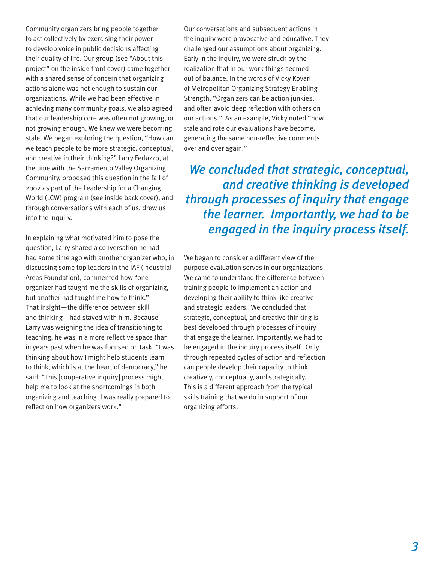Community organizers bring people together to act collectively by exercising their power to develop voice in public decisions affecting their quality of life. Our group (see "About this project" on the inside front cover) came together with a shared sense of concern that organizing actions alone was not enough to sustain our organizations. While we had been effective in achieving many community goals, we also agreed that our leadership core was often not growing, or not growing enough. We knew we were becoming stale. We began exploring the question, "How can we teach people to be more strategic, conceptual, and creative in their thinking?" Larry Ferlazzo, at the time with the Sacramento Valley Organizing Community, proposed this question in the fall of 2002 as part of the Leadership for a Changing World (LCW) program (see inside back cover), and through conversations with each of us, drew us into the inquiry.

In explaining what motivated him to pose the question, Larry shared a conversation he had had some time ago with another organizer who, in discussing some top leaders in the IAF (Industrial Areas Foundation), commented how "one organizer had taught me the skills of organizing, but another had taught me how to think." That insight—the difference between skill and thinking—had stayed with him. Because Larry was weighing the idea of transitioning to teaching, he was in a more reflective space than in years past when he was focused on task. "I was thinking about how I might help students learn to think, which is at the heart of democracy," he said. "This [cooperative inquiry] process might help me to look at the shortcomings in both organizing and teaching. I was really prepared to reflect on how organizers work."

Our conversations and subsequent actions in the inquiry were provocative and educative. They challenged our assumptions about organizing. Early in the inquiry, we were struck by the realization that in our work things seemed out of balance. In the words of Vicky Kovari of Metropolitan Organizing Strategy Enabling Strength, "Organizers can be action junkies, and often avoid deep reflection with others on our actions." As an example, Vicky noted "how stale and rote our evaluations have become, generating the same non-reflective comments over and over again."

*We concluded that strategic, conceptual, and creative thinking is developed through processes of inquiry that engage the learner. Importantly, we had to be engaged in the inquiry process itself.* 

We began to consider a different view of the purpose evaluation serves in our organizations. We came to understand the difference between training people to implement an action and developing their ability to think like creative and strategic leaders. We concluded that strategic, conceptual, and creative thinking is best developed through processes of inquiry that engage the learner. Importantly, we had to be engaged in the inquiry process itself. Only through repeated cycles of action and reflection can people develop their capacity to think creatively, conceptually, and strategically. This is a different approach from the typical skills training that we do in support of our organizing efforts.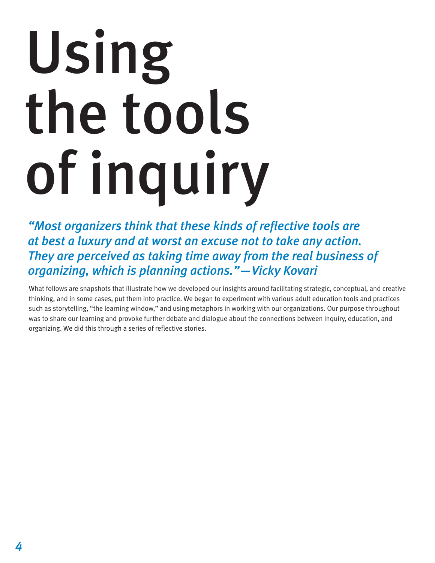# Using the tools of inquiry

*"Most organizers think that these kinds of reflective tools are at best a luxury and at worst an excuse not to take any action. They are perceived as taking time away from the real business of organizing, which is planning actions."—Vicky Kovari*

What follows are snapshots that illustrate how we developed our insights around facilitating strategic, conceptual, and creative thinking, and in some cases, put them into practice. We began to experiment with various adult education tools and practices such as storytelling, "the learning window," and using metaphors in working with our organizations. Our purpose throughout was to share our learning and provoke further debate and dialogue about the connections between inquiry, education, and organizing. We did this through a series of reflective stories.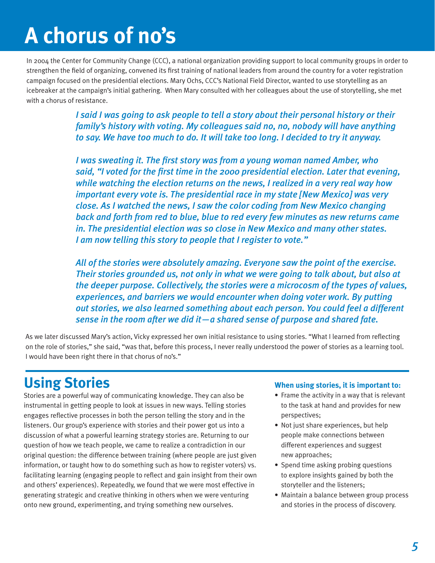# **A chorus of no's**

In 2004 the Center for Community Change (CCC), a national organization providing support to local community groups in order to strengthen the field of organizing, convened its first training of national leaders from around the country for a voter registration campaign focused on the presidential elections. Mary Ochs, CCC's National Field Director, wanted to use storytelling as an icebreaker at the campaign's initial gathering. When Mary consulted with her colleagues about the use of storytelling, she met with a chorus of resistance.

> *I said I was going to ask people to tell a story about their personal history or their family's history with voting. My colleagues said no, no, nobody will have anything to say. We have too much to do. It will take too long. I decided to try it anyway.*

*I was sweating it. The first story was from a young woman named Amber, who said, "I voted for the first time in the 2000 presidential election. Later that evening, while watching the election returns on the news, I realized in a very real way how important every vote is. The presidential race in my state [New Mexico] was very close. As I watched the news, I saw the color coding from New Mexico changing back and forth from red to blue, blue to red every few minutes as new returns came in. The presidential election was so close in New Mexico and many other states. I am now telling this story to people that I register to vote."*

*All of the stories were absolutely amazing. Everyone saw the point of the exercise. Their stories grounded us, not only in what we were going to talk about, but also at the deeper purpose. Collectively, the stories were a microcosm of the types of values, experiences, and barriers we would encounter when doing voter work. By putting out stories, we also learned something about each person. You could feel a different sense in the room after we did it—a shared sense of purpose and shared fate.* 

As we later discussed Mary's action, Vicky expressed her own initial resistance to using stories. "What I learned from reflecting on the role of stories," she said, "was that, before this process, I never really understood the power of stories as a learning tool. I would have been right there in that chorus of no's."

# **Using Stories**

Stories are a powerful way of communicating knowledge. They can also be instrumental in getting people to look at issues in new ways. Telling stories engages reflective processes in both the person telling the story and in the listeners. Our group's experience with stories and their power got us into a discussion of what a powerful learning strategy stories are. Returning to our question of how we teach people, we came to realize a contradiction in our original question: the difference between training (where people are just given information, or taught how to do something such as how to register voters) vs. facilitating learning (engaging people to reflect and gain insight from their own and others' experiences). Repeatedly, we found that we were most effective in generating strategic and creative thinking in others when we were venturing onto new ground, experimenting, and trying something new ourselves.

#### **When using stories, it is important to:**

- Frame the activity in a way that is relevant to the task at hand and provides for new perspectives;
- Not just share experiences, but help people make connections between different experiences and suggest new approaches;
- Spend time asking probing questions to explore insights gained by both the storyteller and the listeners;
- Maintain a balance between group process and stories in the process of discovery.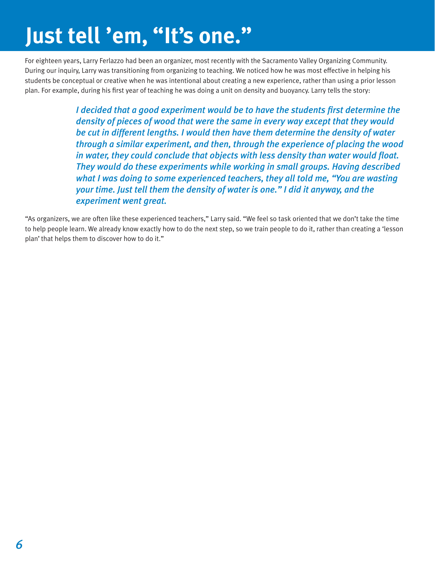# **Just tell 'em, "It's one."**

For eighteen years, Larry Ferlazzo had been an organizer, most recently with the Sacramento Valley Organizing Community. During our inquiry, Larry was transitioning from organizing to teaching. We noticed how he was most effective in helping his students be conceptual or creative when he was intentional about creating a new experience, rather than using a prior lesson plan. For example, during his first year of teaching he was doing a unit on density and buoyancy. Larry tells the story:

> *I decided that a good experiment would be to have the students first determine the density of pieces of wood that were the same in every way except that they would be cut in different lengths. I would then have them determine the density of water through a similar experiment, and then, through the experience of placing the wood in water, they could conclude that objects with less density than water would float. They would do these experiments while working in small groups. Having described what I was doing to some experienced teachers, they all told me, "You are wasting your time. Just tell them the density of water is one." I did it anyway, and the experiment went great.*

"As organizers, we are often like these experienced teachers," Larry said. "We feel so task oriented that we don't take the time to help people learn. We already know exactly how to do the next step, so we train people to do it, rather than creating a 'lesson plan' that helps them to discover how to do it."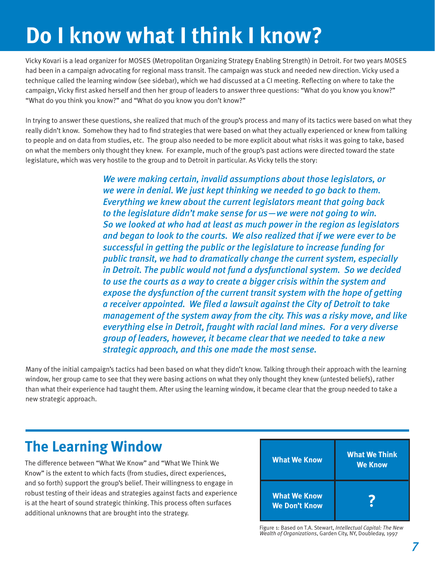# **Do I know what I think I know?**

Vicky Kovari is a lead organizer for MOSES (Metropolitan Organizing Strategy Enabling Strength) in Detroit. For two years MOSES had been in a campaign advocating for regional mass transit. The campaign was stuck and needed new direction. Vicky used a technique called the learning window (see sidebar), which we had discussed at a CI meeting. Reflecting on where to take the campaign, Vicky first asked herself and then her group of leaders to answer three questions: "What do you know you know?" "What do you think you know?" and "What do you know you don't know?"

In trying to answer these questions, she realized that much of the group's process and many of its tactics were based on what they really didn't know. Somehow they had to find strategies that were based on what they actually experienced or knew from talking to people and on data from studies, etc. The group also needed to be more explicit about what risks it was going to take, based on what the members only thought they knew. For example, much of the group's past actions were directed toward the state legislature, which was very hostile to the group and to Detroit in particular. As Vicky tells the story:

> *We were making certain, invalid assumptions about those legislators, or we were in denial. We just kept thinking we needed to go back to them. Everything we knew about the current legislators meant that going back to the legislature didn't make sense for us—we were not going to win. So we looked at who had at least as much power in the region as legislators and began to look to the courts. We also realized that if we were ever to be successful in getting the public or the legislature to increase funding for public transit, we had to dramatically change the current system, especially in Detroit. The public would not fund a dysfunctional system. So we decided to use the courts as a way to create a bigger crisis within the system and expose the dysfunction of the current transit system with the hope of getting a receiver appointed. We filed a lawsuit against the City of Detroit to take management of the system away from the city. This was a risky move, and like everything else in Detroit, fraught with racial land mines. For a very diverse group of leaders, however, it became clear that we needed to take a new strategic approach, and this one made the most sense.*

Many of the initial campaign's tactics had been based on what they didn't know. Talking through their approach with the learning window, her group came to see that they were basing actions on what they only thought they knew (untested beliefs), rather than what their experience had taught them. After using the learning window, it became clear that the group needed to take a new strategic approach.

# **The Learning Window**

The difference between "What We Know" and "What We Think We Know" is the extent to which facts (from studies, direct experiences, and so forth) support the group's belief. Their willingness to engage in robust testing of their ideas and strategies against facts and experience is at the heart of sound strategic thinking. This process often surfaces additional unknowns that are brought into the strategy.



Figure 1: Based on T.A. Stewart, *Intellectual Capital: The New Wealth of Organizations*, Garden City, NY, Doubleday, 1997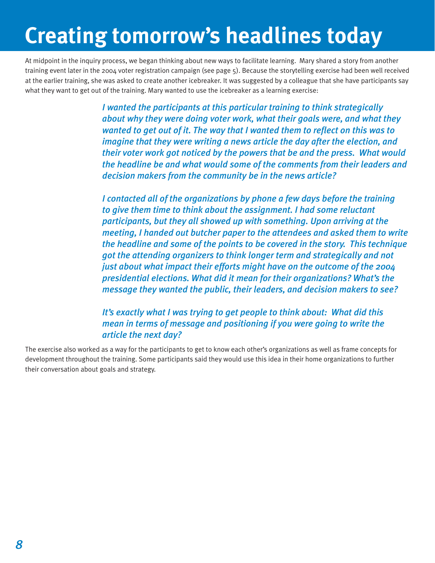# **Creating tomorrow's headlines today**

At midpoint in the inquiry process, we began thinking about new ways to facilitate learning. Mary shared a story from another training event later in the 2004 voter registration campaign (see page 5). Because the storytelling exercise had been well received at the earlier training, she was asked to create another icebreaker. It was suggested by a colleague that she have participants say what they want to get out of the training. Mary wanted to use the icebreaker as a learning exercise:

> *I wanted the participants at this particular training to think strategically about why they were doing voter work, what their goals were, and what they wanted to get out of it. The way that I wanted them to reflect on this was to imagine that they were writing a news article the day after the election, and their voter work got noticed by the powers that be and the press. What would the headline be and what would some of the comments from their leaders and decision makers from the community be in the news article?*

> *I* contacted all of the organizations by phone a few days before the training *to give them time to think about the assignment. I had some reluctant participants, but they all showed up with something. Upon arriving at the meeting, I handed out butcher paper to the attendees and asked them to write the headline and some of the points to be covered in the story. This technique got the attending organizers to think longer term and strategically and not just about what impact their efforts might have on the outcome of the 2004 presidential elections. What did it mean for their organizations? What's the message they wanted the public, their leaders, and decision makers to see?*

*It's exactly what I was trying to get people to think about: What did this mean in terms of message and positioning if you were going to write the article the next day?*

The exercise also worked as a way for the participants to get to know each other's organizations as well as frame concepts for development throughout the training. Some participants said they would use this idea in their home organizations to further their conversation about goals and strategy.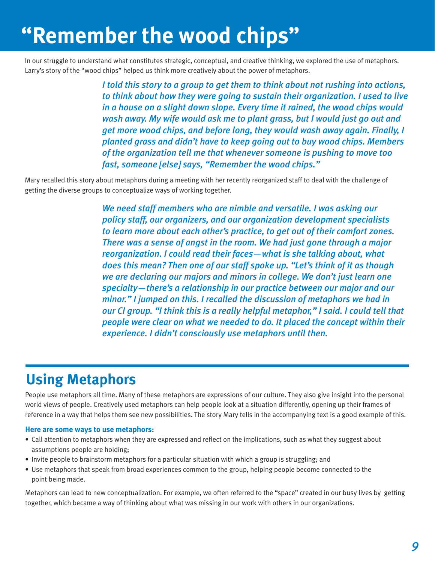# **"Remember the wood chips"**

In our struggle to understand what constitutes strategic, conceptual, and creative thinking, we explored the use of metaphors. Larry's story of the "wood chips" helped us think more creatively about the power of metaphors.

> *I told this story to a group to get them to think about not rushing into actions, to think about how they were going to sustain their organization. I used to live in a house on a slight down slope. Every time it rained, the wood chips would wash away. My wife would ask me to plant grass, but I would just go out and get more wood chips, and before long, they would wash away again. Finally, I planted grass and didn't have to keep going out to buy wood chips. Members of the organization tell me that whenever someone is pushing to move too fast, someone [else] says, "Remember the wood chips."*

Mary recalled this story about metaphors during a meeting with her recently reorganized staff to deal with the challenge of getting the diverse groups to conceptualize ways of working together.

> *We need staff members who are nimble and versatile. I was asking our policy staff, our organizers, and our organization development specialists to learn more about each other's practice, to get out of their comfort zones. There was a sense of angst in the room. We had just gone through a major reorganization. I could read their faces—what is she talking about, what does this mean? Then one of our staff spoke up. "Let's think of it as though we are declaring our majors and minors in college. We don't just learn one specialty—there's a relationship in our practice between our major and our minor." I jumped on this. I recalled the discussion of metaphors we had in our CI group. "I think this is a really helpful metaphor," I said. I could tell that people were clear on what we needed to do. It placed the concept within their experience. I didn't consciously use metaphors until then.*

# **Using Metaphors**

People use metaphors all time. Many of these metaphors are expressions of our culture. They also give insight into the personal world views of people. Creatively used metaphors can help people look at a situation differently, opening up their frames of reference in a way that helps them see new possibilities. The story Mary tells in the accompanying text is a good example of this.

#### **Here are some ways to use metaphors:**

- Call attention to metaphors when they are expressed and reflect on the implications, such as what they suggest about assumptions people are holding;
- Invite people to brainstorm metaphors for a particular situation with which a group is struggling; and
- Use metaphors that speak from broad experiences common to the group, helping people become connected to the point being made.

Metaphors can lead to new conceptualization. For example, we often referred to the "space" created in our busy lives by getting together, which became a way of thinking about what was missing in our work with others in our organizations.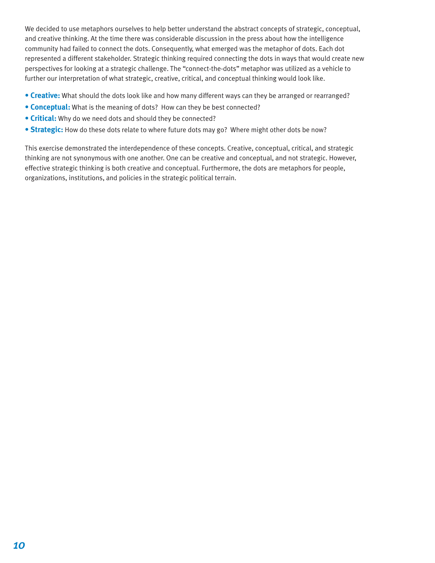We decided to use metaphors ourselves to help better understand the abstract concepts of strategic, conceptual, and creative thinking. At the time there was considerable discussion in the press about how the intelligence community had failed to connect the dots. Consequently, what emerged was the metaphor of dots. Each dot represented a different stakeholder. Strategic thinking required connecting the dots in ways that would create new perspectives for looking at a strategic challenge. The "connect-the-dots" metaphor was utilized as a vehicle to further our interpretation of what strategic, creative, critical, and conceptual thinking would look like.

- **Creative:** What should the dots look like and how many different ways can they be arranged or rearranged?
- **Conceptual:** What is the meaning of dots? How can they be best connected?
- **Critical:** Why do we need dots and should they be connected?
- **Strategic:** How do these dots relate to where future dots may go? Where might other dots be now?

This exercise demonstrated the interdependence of these concepts. Creative, conceptual, critical, and strategic thinking are not synonymous with one another. One can be creative and conceptual, and not strategic. However, effective strategic thinking is both creative and conceptual. Furthermore, the dots are metaphors for people, organizations, institutions, and policies in the strategic political terrain.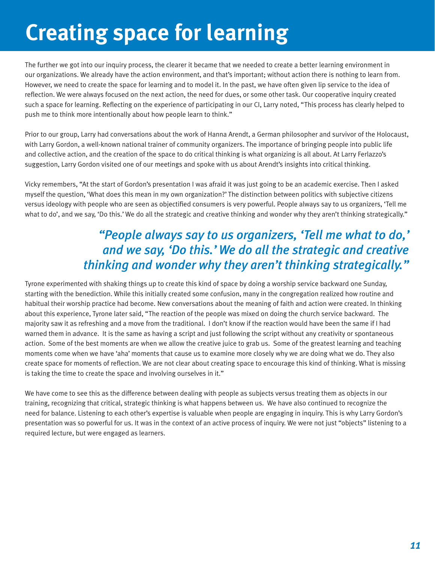# **Creating space for learning**

The further we got into our inquiry process, the clearer it became that we needed to create a better learning environment in our organizations. We already have the action environment, and that's important; without action there is nothing to learn from. However, we need to create the space for learning and to model it. In the past, we have often given lip service to the idea of reflection. We were always focused on the next action, the need for dues, or some other task. Our cooperative inquiry created such a space for learning. Reflecting on the experience of participating in our CI, Larry noted, "This process has clearly helped to push me to think more intentionally about how people learn to think."

Prior to our group, Larry had conversations about the work of Hanna Arendt, a German philosopher and survivor of the Holocaust, with Larry Gordon, a well-known national trainer of community organizers. The importance of bringing people into public life and collective action, and the creation of the space to do critical thinking is what organizing is all about. At Larry Ferlazzo's suggestion, Larry Gordon visited one of our meetings and spoke with us about Arendt's insights into critical thinking.

Vicky remembers, "At the start of Gordon's presentation I was afraid it was just going to be an academic exercise. Then I asked myself the question, 'What does this mean in my own organization?' The distinction between politics with subjective citizens versus ideology with people who are seen as objectified consumers is very powerful. People always say to us organizers, 'Tell me what to do', and we say, 'Do this.' We do all the strategic and creative thinking and wonder why they aren't thinking strategically."

## *"People always say to us organizers, 'Tell me what to do,' and we say, 'Do this.' We do all the strategic and creative thinking and wonder why they aren't thinking strategically."*

Tyrone experimented with shaking things up to create this kind of space by doing a worship service backward one Sunday, starting with the benediction. While this initially created some confusion, many in the congregation realized how routine and habitual their worship practice had become. New conversations about the meaning of faith and action were created. In thinking about this experience, Tyrone later said, "The reaction of the people was mixed on doing the church service backward. The majority saw it as refreshing and a move from the traditional. I don't know if the reaction would have been the same if I had warned them in advance. It is the same as having a script and just following the script without any creativity or spontaneous action. Some of the best moments are when we allow the creative juice to grab us. Some of the greatest learning and teaching moments come when we have 'aha' moments that cause us to examine more closely why we are doing what we do. They also create space for moments of reflection. We are not clear about creating space to encourage this kind of thinking. What is missing is taking the time to create the space and involving ourselves in it."

We have come to see this as the difference between dealing with people as subjects versus treating them as objects in our training, recognizing that critical, strategic thinking is what happens between us. We have also continued to recognize the need for balance. Listening to each other's expertise is valuable when people are engaging in inquiry. This is why Larry Gordon's presentation was so powerful for us. It was in the context of an active process of inquiry. We were not just "objects" listening to a required lecture, but were engaged as learners.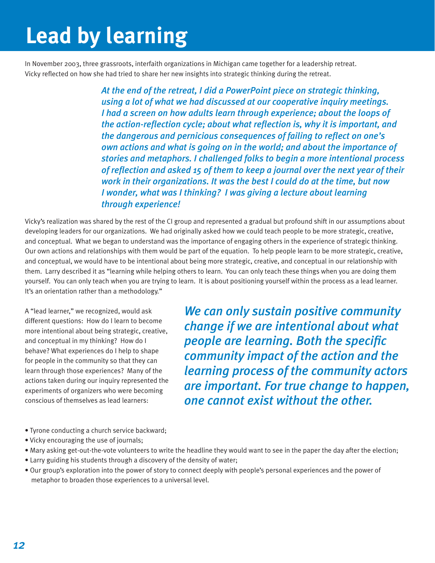# **Lead by learning**

In November 2003, three grassroots, interfaith organizations in Michigan came together for a leadership retreat. Vicky reflected on how she had tried to share her new insights into strategic thinking during the retreat.

> *At the end of the retreat, I did a PowerPoint piece on strategic thinking, using a lot of what we had discussed at our cooperative inquiry meetings. I had a screen on how adults learn through experience; about the loops of the action-reflection cycle; about what reflection is, why it is important, and the dangerous and pernicious consequences of failing to reflect on one's own actions and what is going on in the world; and about the importance of stories and metaphors. I challenged folks to begin a more intentional process of reflection and asked 15 of them to keep a journal over the next year of their work in their organizations. It was the best I could do at the time, but now I wonder, what was I thinking? I was giving a lecture about learning through experience!*

Vicky's realization was shared by the rest of the CI group and represented a gradual but profound shift in our assumptions about developing leaders for our organizations. We had originally asked how we could teach people to be more strategic, creative, and conceptual. What we began to understand was the importance of engaging others in the experience of strategic thinking. Our own actions and relationships with them would be part of the equation. To help people learn to be more strategic, creative, and conceptual, we would have to be intentional about being more strategic, creative, and conceptual in our relationship with them. Larry described it as "learning while helping others to learn. You can only teach these things when you are doing them yourself. You can only teach when you are trying to learn. It is about positioning yourself within the process as a lead learner. It's an orientation rather than a methodology."

A "lead learner," we recognized, would ask different questions: How do I learn to become more intentional about being strategic, creative, and conceptual in my thinking? How do I behave? What experiences do I help to shape for people in the community so that they can learn through those experiences? Many of the actions taken during our inquiry represented the experiments of organizers who were becoming conscious of themselves as lead learners:

*We can only sustain positive community change if we are intentional about what people are learning. Both the specific community impact of the action and the learning process of the community actors are important. For true change to happen, one cannot exist without the other.* 

- Tyrone conducting a church service backward;
- Vicky encouraging the use of journals;
- Mary asking get-out-the-vote volunteers to write the headline they would want to see in the paper the day after the election;
- Larry guiding his students through a discovery of the density of water;
- Our group's exploration into the power of story to connect deeply with people's personal experiences and the power of metaphor to broaden those experiences to a universal level.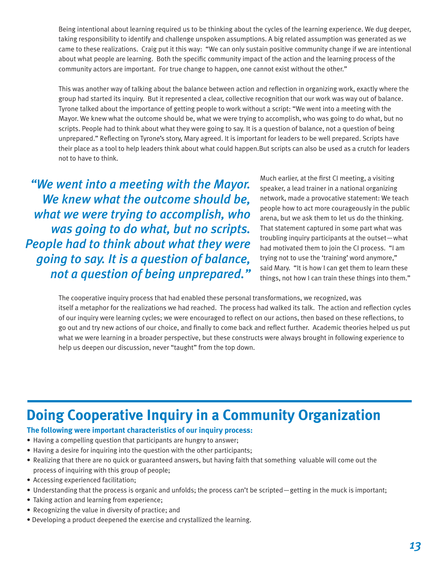Being intentional about learning required us to be thinking about the cycles of the learning experience. We dug deeper, taking responsibility to identify and challenge unspoken assumptions. A big related assumption was generated as we came to these realizations. Craig put it this way: "We can only sustain positive community change if we are intentional about what people are learning. Both the specific community impact of the action and the learning process of the community actors are important. For true change to happen, one cannot exist without the other."

This was another way of talking about the balance between action and reflection in organizing work, exactly where the group had started its inquiry. But it represented a clear, collective recognition that our work was way out of balance. Tyrone talked about the importance of getting people to work without a script: "We went into a meeting with the Mayor. We knew what the outcome should be, what we were trying to accomplish, who was going to do what, but no scripts. People had to think about what they were going to say. It is a question of balance, not a question of being unprepared." Reflecting on Tyrone's story, Mary agreed. It is important for leaders to be well prepared. Scripts have their place as a tool to help leaders think about what could happen.But scripts can also be used as a crutch for leaders not to have to think.

*"We went into a meeting with the Mayor. We knew what the outcome should be, what we were trying to accomplish, who was going to do what, but no scripts. People had to think about what they were going to say. It is a question of balance, not a question of being unprepared."* Much earlier, at the first CI meeting, a visiting speaker, a lead trainer in a national organizing network, made a provocative statement: We teach people how to act more courageously in the public arena, but we ask them to let us do the thinking. That statement captured in some part what was troubling inquiry participants at the outset—what had motivated them to join the CI process. "I am trying not to use the 'training' word anymore," said Mary. "It is how I can get them to learn these things, not how I can train these things into them."

The cooperative inquiry process that had enabled these personal transformations, we recognized, was itself a metaphor for the realizations we had reached. The process had walked its talk. The action and reflection cycles of our inquiry were learning cycles; we were encouraged to reflect on our actions, then based on these reflections, to go out and try new actions of our choice, and finally to come back and reflect further. Academic theories helped us put what we were learning in a broader perspective, but these constructs were always brought in following experience to help us deepen our discussion, never "taught" from the top down.

## **Doing Cooperative Inquiry in a Community Organization**

## **The following were important characteristics of our inquiry process:**

- Having a compelling question that participants are hungry to answer;
- Having a desire for inquiring into the question with the other participants;
- Realizing that there are no quick or guaranteed answers, but having faith that something valuable will come out the process of inquiring with this group of people;
- Accessing experienced facilitation;
- Understanding that the process is organic and unfolds; the process can't be scripted—getting in the muck is important;
- Taking action and learning from experience;
- Recognizing the value in diversity of practice; and
- Developing a product deepened the exercise and crystallized the learning.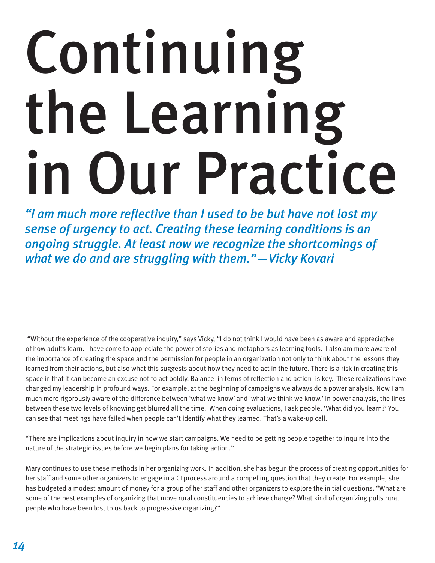# Continuing the Learning in Our Practice

*"I am much more reflective than I used to be but have not lost my sense of urgency to act. Creating these learning conditions is an ongoing struggle. At least now we recognize the shortcomings of what we do and are struggling with them."—Vicky Kovari*

 "Without the experience of the cooperative inquiry," says Vicky, "I do not think I would have been as aware and appreciative of how adults learn. I have come to appreciate the power of stories and metaphors as learning tools. I also am more aware of the importance of creating the space and the permission for people in an organization not only to think about the lessons they learned from their actions, but also what this suggests about how they need to act in the future. There is a risk in creating this space in that it can become an excuse not to act boldly. Balance–in terms of reflection and action–is key. These realizations have changed my leadership in profound ways. For example, at the beginning of campaigns we always do a power analysis. Now I am much more rigorously aware of the difference between 'what we know' and 'what we think we know.' In power analysis, the lines between these two levels of knowing get blurred all the time. When doing evaluations, I ask people, 'What did you learn?' You can see that meetings have failed when people can't identify what they learned. That's a wake-up call.

"There are implications about inquiry in how we start campaigns. We need to be getting people together to inquire into the nature of the strategic issues before we begin plans for taking action."

Mary continues to use these methods in her organizing work. In addition, she has begun the process of creating opportunities for her staff and some other organizers to engage in a CI process around a compelling question that they create. For example, she has budgeted a modest amount of money for a group of her staff and other organizers to explore the initial questions, "What are some of the best examples of organizing that move rural constituencies to achieve change? What kind of organizing pulls rural people who have been lost to us back to progressive organizing?"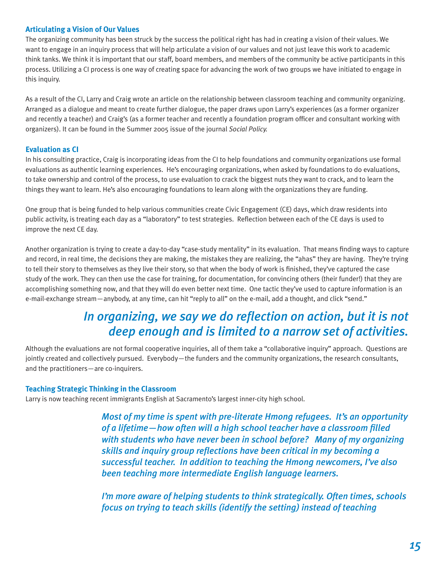### **Articulating a Vision of Our Values**

The organizing community has been struck by the success the political right has had in creating a vision of their values. We want to engage in an inquiry process that will help articulate a vision of our values and not just leave this work to academic think tanks. We think it is important that our staff, board members, and members of the community be active participants in this process. Utilizing a CI process is one way of creating space for advancing the work of two groups we have initiated to engage in this inquiry.

As a result of the CI, Larry and Craig wrote an article on the relationship between classroom teaching and community organizing. Arranged as a dialogue and meant to create further dialogue, the paper draws upon Larry's experiences (as a former organizer and recently a teacher) and Craig's (as a former teacher and recently a foundation program officer and consultant working with organizers). It can be found in the Summer 2005 issue of the journal *Social Policy.*

#### **Evaluation as CI**

In his consulting practice, Craig is incorporating ideas from the CI to help foundations and community organizations use formal evaluations as authentic learning experiences. He's encouraging organizations, when asked by foundations to do evaluations, to take ownership and control of the process, to use evaluation to crack the biggest nuts they want to crack, and to learn the things they want to learn. He's also encouraging foundations to learn along with the organizations they are funding.

One group that is being funded to help various communities create Civic Engagement (CE) days, which draw residents into public activity, is treating each day as a "laboratory" to test strategies. Reflection between each of the CE days is used to improve the next CE day.

Another organization is trying to create a day-to-day "case-study mentality" in its evaluation. That means finding ways to capture and record, in real time, the decisions they are making, the mistakes they are realizing, the "ahas" they are having. They're trying to tell their story to themselves as they live their story, so that when the body of work is finished, they've captured the case study of the work. They can then use the case for training, for documentation, for convincing others (their funder!) that they are accomplishing something now, and that they will do even better next time. One tactic they've used to capture information is an e-mail-exchange stream—anybody, at any time, can hit "reply to all" on the e-mail, add a thought, and click "send."

## *In organizing, we say we do reflection on action, but it is not deep enough and is limited to a narrow set of activities.*

Although the evaluations are not formal cooperative inquiries, all of them take a "collaborative inquiry" approach. Questions are jointly created and collectively pursued. Everybody—the funders and the community organizations, the research consultants, and the practitioners—are co-inquirers.

## **Teaching Strategic Thinking in the Classroom**

Larry is now teaching recent immigrants English at Sacramento's largest inner-city high school.

*Most of my time is spent with pre-literate Hmong refugees. It's an opportunity of a lifetime—how often will a high school teacher have a classroom filled with students who have never been in school before? Many of my organizing skills and inquiry group reflections have been critical in my becoming a successful teacher. In addition to teaching the Hmong newcomers, I've also been teaching more intermediate English language learners.* 

*I'm more aware of helping students to think strategically. Often times, schools focus on trying to teach skills (identify the setting) instead of teaching*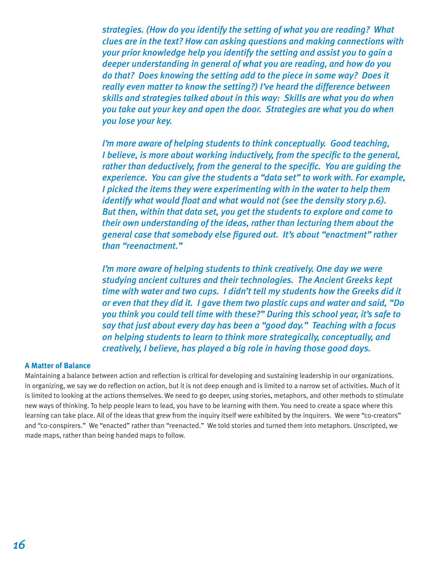*strategies. (How do you identify the setting of what you are reading? What clues are in the text? How can asking questions and making connections with your prior knowledge help you identify the setting and assist you to gain a deeper understanding in general of what you are reading, and how do you do that? Does knowing the setting add to the piece in some way? Does it really even matter to know the setting?) I've heard the difference between skills and strategies talked about in this way: Skills are what you do when you take out your key and open the door. Strategies are what you do when you lose your key.* 

*I'm more aware of helping students to think conceptually. Good teaching, I believe, is more about working inductively, from the specific to the general, rather than deductively, from the general to the specific. You are guiding the experience. You can give the students a "data set" to work with. For example, I picked the items they were experimenting with in the water to help them identify what would float and what would not (see the density story p.6). But then, within that data set, you get the students to explore and come to their own understanding of the ideas, rather than lecturing them about the general case that somebody else figured out. It's about "enactment" rather than "reenactment."* 

*I'm more aware of helping students to think creatively. One day we were studying ancient cultures and their technologies. The Ancient Greeks kept time with water and two cups. I didn't tell my students how the Greeks did it or even that they did it. I gave them two plastic cups and water and said, "Do you think you could tell time with these?" During this school year, it's safe to say that just about every day has been a "good day." Teaching with a focus on helping students to learn to think more strategically, conceptually, and creatively, I believe, has played a big role in having those good days.*

#### **A Matter of Balance**

Maintaining a balance between action and reflection is critical for developing and sustaining leadership in our organizations. In organizing, we say we do reflection on action, but it is not deep enough and is limited to a narrow set of activities. Much of it is limited to looking at the actions themselves. We need to go deeper, using stories, metaphors, and other methods to stimulate new ways of thinking. To help people learn to lead, you have to be learning with them. You need to create a space where this learning can take place. All of the ideas that grew from the inquiry itself were exhibited by the inquirers. We were "co-creators" and "co-conspirers." We "enacted" rather than "reenacted." We told stories and turned them into metaphors. Unscripted, we made maps, rather than being handed maps to follow.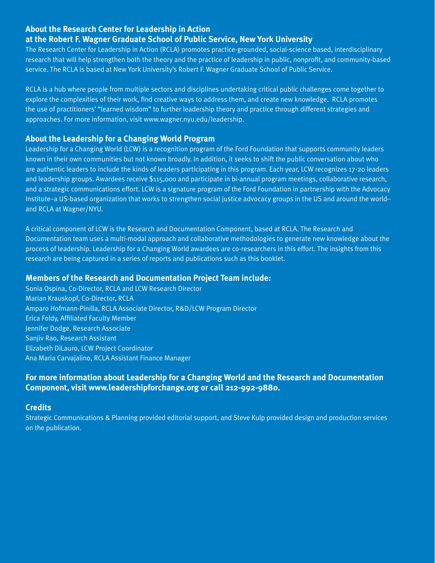## **About the Research Center for Leadership in Action at the Robert F. Wagner Graduate School of Public Service, New York University**

The Research Center for Leadership in Action (RCLA) promotes practice-grounded, social-science based, interdisciplinary research that will help strengthen both the theory and the practice of leadership in public, nonprofit, and community-based service. The RCLA is based at New York University's Robert F. Wagner Graduate School of Public Service.

RCLA is a hub where people from multiple sectors and disciplines undertaking critical public challenges come together to explore the complexities of their work, find creative ways to address them, and create new knowledge. RCLA promotes the use of practitioners' "learned wisdom" to further leadership theory and practice through different strategies and approaches. For more information, visit www.wagner.nyu.edu/leadership.

### **About the Leadership for a Changing World Program**

Leadership for a Changing World (LCW) is a recognition program of the Ford Foundation that supports community leaders known in their own communities but not known broadly. In addition, it seeks to shift the public conversation about who are authentic leaders to include the kinds of leaders participating in this program. Each year, LCW recognizes 17-20 leaders and leadership groups. Awardees receive \$115,000 and participate in bi-annual program meetings, collaborative research, and a strategic communications effort. LCW is a signature program of the Ford Foundation in partnership with the Advocacy Institute–a US-based organization that works to strengthen social justice advocacy groups in the US and around the world– and RCLA at Wagner/NYU.

A critical component of LCW is the Research and Documentation Component, based at RCLA. The Research and Documentation team uses a multi-modal approach and collaborative methodologies to generate new knowledge about the process of leadership. Leadership for a Changing World awardees are co-researchers in this effort. The insights from this research are being captured in a series of reports and publications such as this booklet.

#### **Members of the Research and Documentation Project Team include:**

Sonia Ospina, Co-Director, RCLA and LCW Research Director Marian Krauskopf, Co-Director, RCLA Amparo Hofmann-Pinilla, RCLA Associate Director, R&D/LCW Program Director Erica Foldy, Affiliated Faculty Member Jennifer Dodge, Research Associate Sanjiv Rao, Research Assistant Elizabeth DiLauro, LCW Project Coordinator Ana Maria Carvajalino, RCLA Assistant Finance Manager

## **For more information about Leadership for a Changing World and the Research and Documentation Component, visit www.leadershipforchange.org or call 212-992-9880.**

## **Credits**

Strategic Communications & Planning provided editorial support, and Steve Kulp provided design and production services on the publication.